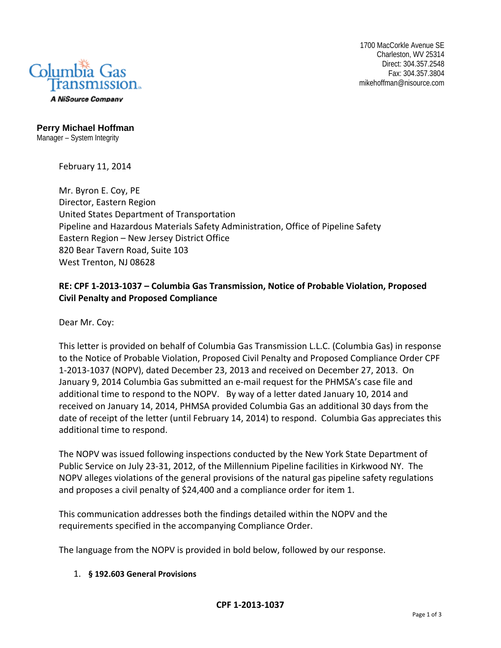

1700 MacCorkle Avenue SE Charleston, WV 25314 Direct: 304.357.2548 Fax: 304.357.3804 mikehoffman@nisource.com

**Perry Michael Hoffman**  Manager – System Integrity

February 11, 2014

Mr. Byron E. Coy, PE Director, Eastern Region United States Department of Transportation Pipeline and Hazardous Materials Safety Administration, Office of Pipeline Safety Eastern Region – New Jersey District Office 820 Bear Tavern Road, Suite 103 West Trenton, NJ 08628

# **RE: CPF 1‐2013‐1037 – Columbia Gas Transmission, Notice of Probable Violation, Proposed Civil Penalty and Proposed Compliance**

Dear Mr. Coy:

This letter is provided on behalf of Columbia Gas Transmission L.L.C. (Columbia Gas) in response to the Notice of Probable Violation, Proposed Civil Penalty and Proposed Compliance Order CPF 1-2013-1037 (NOPV), dated December 23, 2013 and received on December 27, 2013. On January 9, 2014 Columbia Gas submitted an e-mail request for the PHMSA's case file and additional time to respond to the NOPV. By way of a letter dated January 10, 2014 and received on January 14, 2014, PHMSA provided Columbia Gas an additional 30 days from the date of receipt of the letter (until February 14, 2014) to respond. Columbia Gas appreciates this additional time to respond.

The NOPV was issued following inspections conducted by the New York State Department of Public Service on July 23-31, 2012, of the Millennium Pipeline facilities in Kirkwood NY. The NOPV alleges violations of the general provisions of the natural gas pipeline safety regulations and proposes a civil penalty of \$24,400 and a compliance order for item 1.

This communication addresses both the findings detailed within the NOPV and the requirements specified in the accompanying Compliance Order.

The language from the NOPV is provided in bold below, followed by our response.

## 1. **§ 192.603 General Provisions**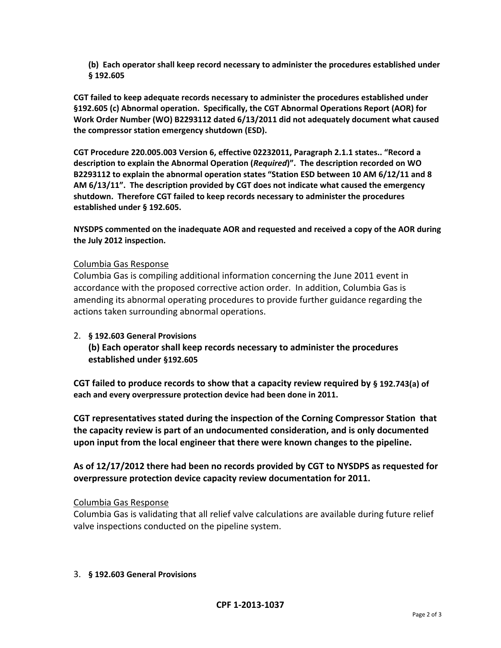**(b) Each operator shall keep record necessary to administer the procedures established under § 192.605** 

**CGT failed to keep adequate records necessary to administer the procedures established under §192.605 (c) Abnormal operation. Specifically, the CGT Abnormal Operations Report (AOR) for Work Order Number (WO) B2293112 dated 6/13/2011 did not adequately document what caused the compressor station emergency shutdown (ESD).** 

**CGT Procedure 220.005.003 Version 6, effective 02232011, Paragraph 2.1.1 states.. "Record a description to explain the Abnormal Operation (***Required***)". The description recorded on WO B2293112 to explain the abnormal operation states "Station ESD between 10 AM 6/12/11 and 8 AM 6/13/11". The description provided by CGT does not indicate what caused the emergency shutdown. Therefore CGT failed to keep records necessary to administer the procedures established under § 192.605.** 

**NYSDPS commented on the inadequate AOR and requested and received a copy of the AOR during the July 2012 inspection.** 

## Columbia Gas Response

Columbia Gas is compiling additional information concerning the June 2011 event in accordance with the proposed corrective action order. In addition, Columbia Gas is amending its abnormal operating procedures to provide further guidance regarding the actions taken surrounding abnormal operations.

## 2. **§ 192.603 General Provisions**

**(b) Each operator shall keep records necessary to administer the procedures established under §192.605** 

**CGT failed to produce records to show that a capacity review required by § 192.743(a) of each and every overpressure protection device had been done in 2011.** 

**CGT representatives stated during the inspection of the Corning Compressor Station that the capacity review is part of an undocumented consideration, and is only documented upon input from the local engineer that there were known changes to the pipeline.** 

**As of 12/17/2012 there had been no records provided by CGT to NYSDPS as requested for overpressure protection device capacity review documentation for 2011.** 

## Columbia Gas Response

Columbia Gas is validating that all relief valve calculations are available during future relief valve inspections conducted on the pipeline system.

## 3. **§ 192.603 General Provisions**